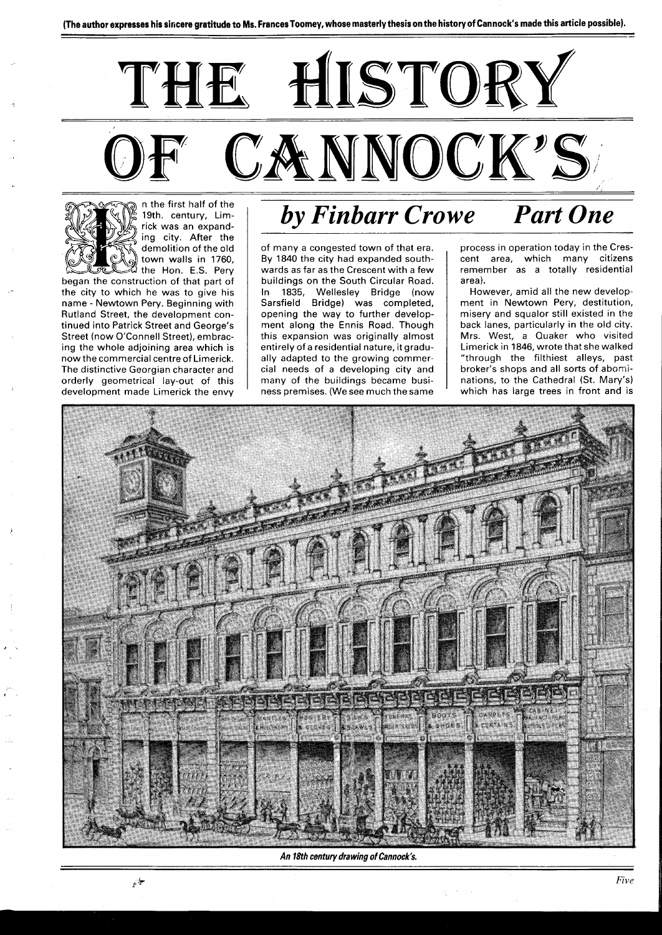

19th. century, Limrick was an expanding city. After the demolition of the old town walls in 1760,  $\stackrel{\text{\tiny 1}}{a}$  the Hon. E.S. Pery began the construction of that part of the city to which he was to give his name - Newtown Pery. Beginning with Rutland Street, the development continued into Patrick Street and George's

Street (now O'Connell Street), embracing the whole adjoining area which is now the commercial centre of Limerick. The distinctive Georgian character and orderly geometrical lay-out of this development made Limerick the envy

## *by Finbarr Crowe Part One*

of many a congested town of that era. By 1840 the city had expanded southwards as far as the Crescent with a few buildings on the South Circular Road. In 1835, Wellesley Bridge (now Sarsfield Bridge) was completed, opening the way to further development along the Ennis Road. Though this expansion was originally almost entirely of a residential nature, it gradually adapted to the growing commercial needs of a developing city and many of the buildings became business premises. (We see much the same

process in operation today in the Crescent area, which many citizens remember as a totally residential area).

However, amid all the new development in Newtown Pery, destitution, misery and squalor still existed in the back lanes, particularly in the old city. Mrs. West, a Quaker who visited Limerick in 1846, wrote that she walked "through the filthiest alleys, past broker's shops and all sorts of abominations, to the Cathedral (St. Mary's) which has large trees in front and is



**An 18th century drawing of Cannock's.**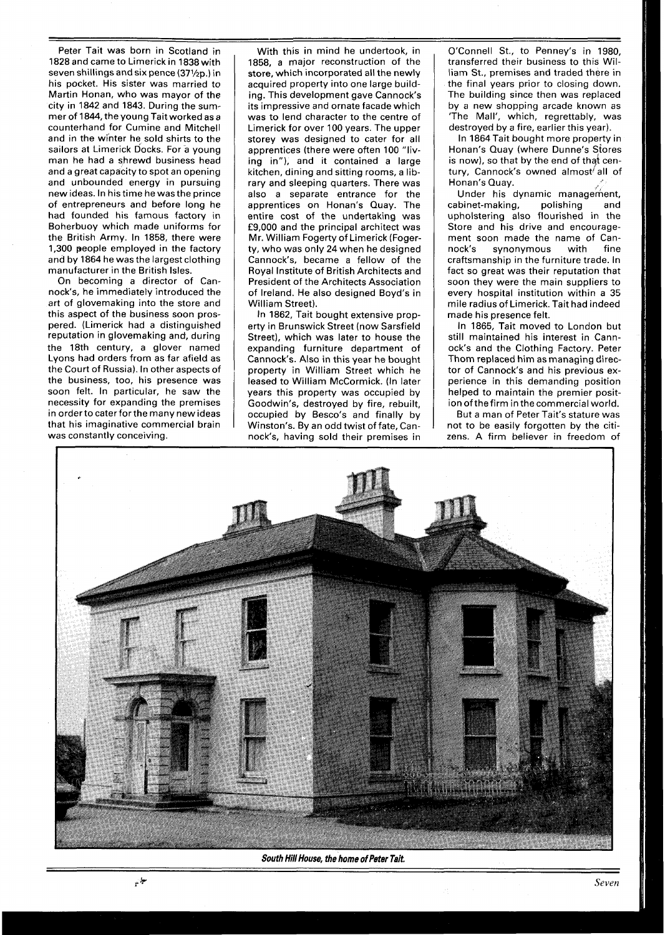Peter Tait was born in Scotland in 1828 and came to Limerick in 1838 with seven shillings and six pence (371/2p.) in his pocket. His sister was married to Martin Honan, who was mayor of the city in 1842 and 1843. During the summer of 1844, the young Tait worked as a counterhand for Cumine and Mitchell and in the winter he sold shirts to the sailors at Limerick Docks. For a young man he had a shrewd business head and a great capacity to spot an opening and unbounded energy in pursuing new ideas. In his time he was the prince of entrepreneurs and before long he had founded his famous factory in Boherbuoy which made uniforms for the British Army. In 1858, there were 1,300 people employed in the factory and by 1864 he was the largest clothing manufacturer in the British Isles.

On becoming a director of Cannock's, he immediately introduced the art of glovemaking into the store and this aspect of the business soon prospered. (Limerick had a distinguished reputation in glovemaking and, during the 18th century, a glover named Lyons had orders from as far afield as the Court of Russia). In other aspects of the business, too, his presence was soon felt. In particular, he saw the necessity for expanding the premises in orderto cater for the many new ideas that his imaginative commercial brain was constantly conceiving.

With this in mind he undertook, in 1858, a major reconstruction of the store, which incorporated all the newly acquired property into one large building. This development gave Cannock's its impressive and ornate facade which was to lend character to the centre of Limerick for over l00 years. The upper storey was designed to cater for all apprentices (there were often 100 "living in"), and it contained a large kitchen, dining and sitting rooms, a library and sleeping quarters. There was also a separate entrance for the apprentices on Honan's Quay. The entire cost of the undertaking was £9,000 and the principal architect was Mr. William Fogerty of Limerick (Fogerty, who was only 24 when he designed Cannock's, became a fellow of the Royal Institute of British Architects and President of the Architects Association of Ireland. He also designed Boyd's in William Street).

In 1862, Tait bought extensive property in Brunswick Street (now Sarsfield Street), which was later to house the expanding furniture department of Cannock's. Also in this year he bought property in William Street which he leased to William McCormick. (In later years this property was occupied by Goodwin's, destroyed by fire, rebuilt, occupied by Besco's and finally by Winston's. By an odd twist of fate, Cannock's, having sold their premises in

O'Connell St., to Penney's in 1980, transferred their business to this William St., premises and traded there in the final years prior to closing down. The building since then was replaced by a new shopping arcade known as 'The Mall', which, regrettably, was destroyed by a fire, earlier this year).

In 1864 Tait bought more property in Honan's Quay (where Dunne's Stores is now), so that by the end of that cen-Honan's Quay. tury, Cannock's owned almost all of

Under his dynamic management,<br>binet-making, polishing and cabinet-making, upholstering also flourished in the Store and his drive and encouragement soon made the name of Can-<br>nock's synonymous with fine synonymous with fine craftsmanship in the furniture trade. In fact so great was their reputation that soon they were the main suppliers to every hospital institution within a 35 mile radius of Limerick. Tait had indeed made his presence felt.

In 1865, Tait moved to London but still maintained his interest in Cannock's and the Clothing Factory. Peter Thom replaced him as managing director of Cannock's and his previous experience in this demanding position helped to maintain the premier position ofthe firm in thecommercial world.

But a man of Peter Tait's stature was not to be easily forgotten by the citizens. A firm believer in freedom of



**South Hill House, the home of Peter Tait,**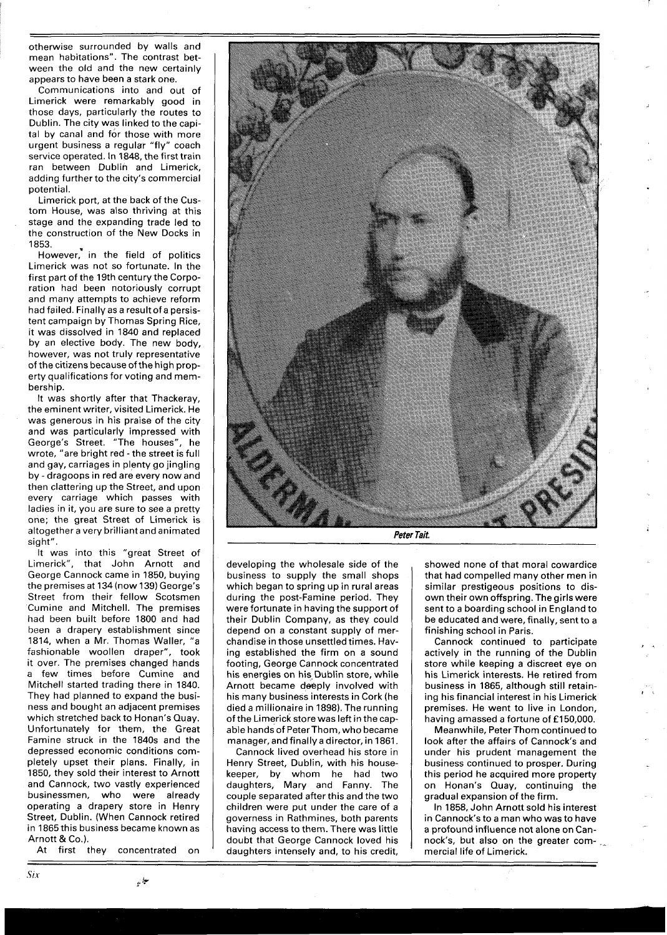otherwise surrounded by walls and mean habitations". The contrast between the old and the new certainly appears to have been a stark one.

Communications into and out of Limerick were remarkably good in those days, particularly the routes to Dublin. The city was linked to the capital by canal and for those with more urgent business a regular "fly" coach service operated. In 1848, the first train ran between Dublih and Limerick, adding further to the city's commercial potential.

Limerick port, at the back of the Custom House, was also thriving at this stage and the expanding trade led to the construction of the New Docks in 1853.

However,<sup>\*</sup> in the field of politics Limerick was not so fortunate. In the first part of the 19th century the Corporation had been notoriously corrupt and many attempts to achieve reform had failed. Finally as a result of a persistent campaign by Thomas Spring Rice, it was dissolved in 1840 and replaced by an elective body. The new body, however, was not truly representative of the citizens because of the high property qualifications for voting and membership.

It was shortly after that Thackeray, the eminent writer, visited Limerick. He was generous in his praise of the city and was particularly impressed with George's Street. "The houses", he wrote, "are bright red - the street is full and gay, carriages in plenty go jingling by - dragoons in red are every now and then clattering up the Street, and upon every carriage which passes with ladies in it, you are sure to see a pretty one; the great Street of Limerick is altogether a very brilliant and animated sight".

It was into this "great Street of Limerick", that John Arnott and George Cannock came in 1850, buying the premises at 134 (now 139) George's Street from their fellow Scotsmen Cumine and Mitchell. The premises had been built before 1800 and had been a drapery establishment since 1814, when a Mr. Thomas Waller, "a fashionable woollen draper", took it over. The premises changed hands a few times before Cumine and Mitchell started trading there in 1840. They had planned to expand the business and bought an adjacent premises which stretched back to Honan's Quay. Unfortunately for them, the Great Famine struck in the 1840s and the depressed economic conditions completely upset their plans. Finally, in 1850, they sold their interest to Arnott and Cannock, two vastly experienced businessmen, who were already operating a drapery store in Henry Street, Dublin. (When Cannock retired in 1865 this business became known as Arnott & Co.).

At first they concentrated on



**Peter Tait.** 

developing the wholesale side of the business to supply the small shops which began to spring up in rural areas during the post-Famine period. They were fortunate in having the support of their Dublin Company, as they could depend on a constant supply of merchandise in those unsettled times. Having established the firm on a sound footing, George Cannock concentrated his energies on his Dublin store, while Arnott became deeply involved with his many business interests in Cork (he died a millionaire in 1898). The running of the Limerick store was left in the capable hands of Peter Thom, who became manager, and finally a director, in 1861.

Cannock lived overhead his store in Henry Street, Dublin, with his housekeeper, by whom he had two daughters, Mary and Fanny. The couple separated after this and the two children were put under the care of a governess in Rathmines, both parents having access to them. There was little doubt that George Cannock loved his daughters intensely and, to his credit,

showed none of that moral cowardice that had compelled many other men in similar prestigeous positions to disown their own offspring. The girls were sent to a boarding school in England to be educated and were, finally, sent to a finishing school in Paris.

Cannock continued to participate actively in the running of the Dublin store while keeping a discreet eye on his Limerick interests. He retired from business in 1865, although still retaining his financial interest in his Limerick premises. He went to live in London, having amassed a fortune of £150,000.

Meanwhile, Peter Thom continued to look after the affairs of Cannock's and under his prudent management the business continued to prosper. During this period he acquired more property on Honan's Quay, continuing the gradual expansion of the firm.

In 1858, John Arnott sold his interest in Cannock's to a man who was to have a profound influence not alone on Cannock's, but also on the greater commercial life of Limerick.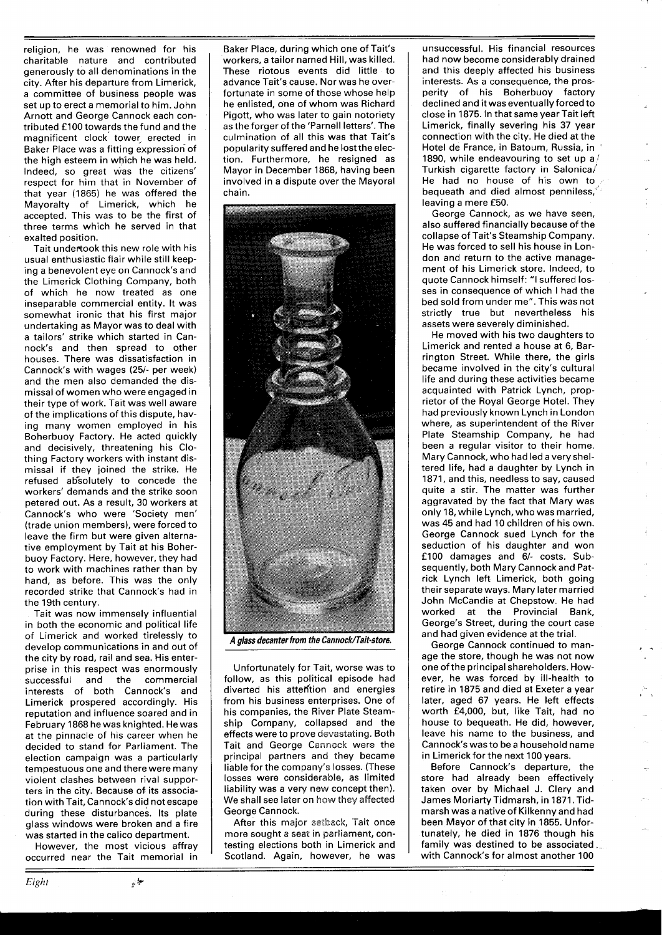religion, he was renowned for his charitable nature and contributed generously to all denominations in the city. After his departure from Limerick, a committee of business people was set up to erect a memorial to him. John Arnott and George Cannock each contributed £ **l00** towards the fund and the magnificent clock tower erected in Baker Place was a fitting expression of the high esteem in which he was held. Indeed, so great was the citizens' respect for him that in November of that year **(1865)** he was offered the Mayoralty of Limerick, which he accepted. This was to be the first of three terms which he served in that exalted position.

Tait undertook this new role with his usual enthusiastic flair while still keeping a benevolent eye on Cannock's and the Limerick Clothing Company, both of which he now treated as one inseparable commercial entity. It was somewhat ironic that his first major undertaking as Mayor was to deal with a tailors' strike which started in Cannock's and then spread to other houses. There was dissatisfaction in Cannock's with wages **(251-** per week) and the men also demanded the dismissal of women who were engaged in their type of work. Tait was well aware of the implications of this dispute, having many women employed in his Boherbuoy Factory. He acted quickly and decisively, threatening his Clothing Factory workers with instant dismissal if they joined the strike. He refused ab\*solutely to concede the workers' demands and the strike soon petered out. As a result, **30** workers at Cannock's who were 'Society men' (trade union members), were forced to leave the firm but were given alternative employment by Tait at his Boherbuoy Factory. Here, however, they had to work with machines rather than by hand, as before. This was the only recorded strike that Cannock's had in the 19th century.

Tait was now immensely influential in both the economic and political life of Limerick and worked tirelessly to develop communications in and out of the city by road, rail and sea. His enterprise in this respect was enormously<br>successful and the commercial the commercial interests of both Cannock's and Limerick prospered accordingly. His reputation and influence soared and in February **1868** he was knighted. He was at the pinnacle of his career when he decided to stand for Parliament. The election campaign was a particularly tempestuous one and there were many violent clashes between rival supporters in the city. Because of its association with Tait, Cannock's did not escape during these disturbances. Its plate glass windows were broken and a fire was started in the calico department.

However, the most vicious affray occurred near the Tait memorial in

Baker Place, during which one of Tait's workers, a tailor named Hill, was killed. These riotous events did little to advance Tait's cause. Nor was he overfortunate in some of those whose help he enlisted, one of whom was Richard Pigott, who was later to gain notoriety as the forger of the 'Parnell letters'. The culmination of all this was that Tait's popularity suffered and he lost the election. Furthermore, he resigned as Mayor in December **1868,** having been involved in a dispute over the Mayoral chain.



A alass decanter from the Cannock/Tait-store.

Unfortunately for Tait, worse was to follow, as this political episode had diverted his attention and energies from his business enterprises. One of his companies, the River Plate Steamship Company, collapsed and the effects were to prove devastating. Both Tait and George Cannock were the principal partners and they became liable for the company's losses. (These losses were considerable, as limited liability was a very new concept then). We shall see later on how they affected George Cannock.

After this major setback, Tait once more sought a seat in parliament, contesting elections both in Limerick and Scotland. Again, however, he was

unsuccessful. His financial resources had now become considerably drained and this deeply affected his business interests. As a consequence, the prosperity of his Boherbuoy factory declined and it was eventually forced to close in **1875.** In that same year Tait left Limerick, finally severing his **37** year connection with the city. He died at the Hotel de France, in Batoum, Russia, in ~ **1890, while endeavouring to set up a/** Turkish cigarette factory in Salonica/ He had no house of his own to bequeath and died almost penniless,' leaving a mere **£50.** 

George Cannock, as we have seen, also suffered financially because of the collapse of Tait's Steamship Company. He was forced to sell his house in London and return to the active management of his Limerick store. Indeed, to quote Cannock himself: "I suffered losses in consequence of which I had the bed sold from under me". This was not strictly true but nevertheless his assets were severely diminished.

He moved with his two daughters to Limerick and rented a house at 6, Barrington Street. While there, the girls became involved in the city's cultural life and during these activities became acquainted with Patrick Lynch, proprietor of the Royal George Hotel. They had previously known Lynch in London where, as superintendent of the River Plate Steamship Company, he had been a regular visitor to their home. Mary Cannock, who had led a very sheltered life, had a daughter by Lynch in **1871,** and this, needless to say, caused quite a stir. The matter was further aggravated by the fact that Mary was only **18,** while Lynch, who was married, was **45** and had **10** children of his own. George Cannock sued Lynch for the seduction of his daughter and won **£100** damages and **61-** costs. Subsequently, both Mary Cannock and Patrick Lynch left Limerick, both going their separate ways. Mary later married John McCandie at Chepstow. He had worked at the Provincial Bank, George's Street, during the court case and had given evidence at the trial.

George Cannock continued to man-<br>age the store, though he was not now one of the principal shareholders. However, he was forced by ill-health to retire in 1875 and died at Exeter a year later, aged **67** years. He left effects worth **£4,000,** but, like Tait, had no house to bequeath. He did, however, leave his name to the business, and Cannock's was to be a household name in Limerick for the next **100** years.

Before Cannock's departure, the store had already been effectively taken over by Michael J. Clery and James Moriarty Tidmarsh, in **1871.** Tidmarsh was a native of Kilkenny and had been Mayor of that city in **1855.** Unfortunately, he died in **1876** though his family was destined to be associated.\_ with Cannock's for almost another **100**